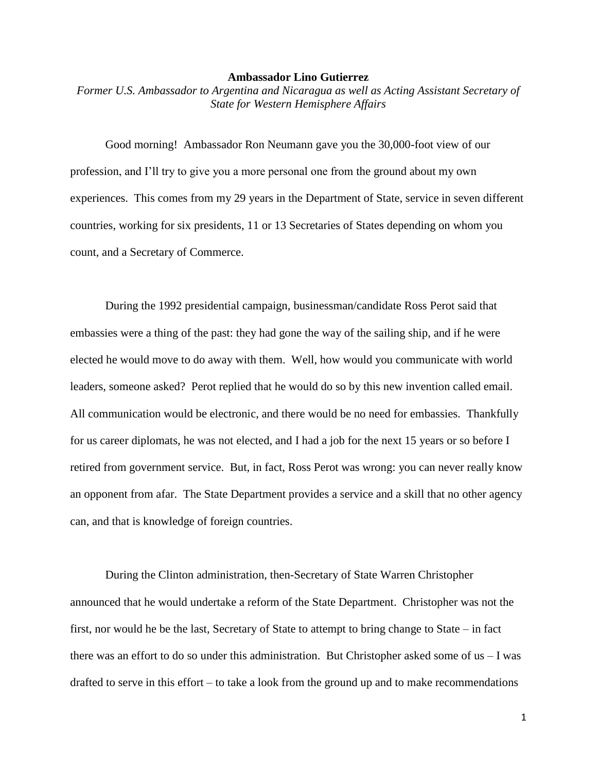## **Ambassador Lino Gutierrez**

*Former U.S. Ambassador to Argentina and Nicaragua as well as Acting Assistant Secretary of State for Western Hemisphere Affairs*

Good morning! Ambassador Ron Neumann gave you the 30,000-foot view of our profession, and I'll try to give you a more personal one from the ground about my own experiences. This comes from my 29 years in the Department of State, service in seven different countries, working for six presidents, 11 or 13 Secretaries of States depending on whom you count, and a Secretary of Commerce.

During the 1992 presidential campaign, businessman/candidate Ross Perot said that embassies were a thing of the past: they had gone the way of the sailing ship, and if he were elected he would move to do away with them. Well, how would you communicate with world leaders, someone asked? Perot replied that he would do so by this new invention called email. All communication would be electronic, and there would be no need for embassies. Thankfully for us career diplomats, he was not elected, and I had a job for the next 15 years or so before I retired from government service. But, in fact, Ross Perot was wrong: you can never really know an opponent from afar. The State Department provides a service and a skill that no other agency can, and that is knowledge of foreign countries.

During the Clinton administration, then-Secretary of State Warren Christopher announced that he would undertake a reform of the State Department. Christopher was not the first, nor would he be the last, Secretary of State to attempt to bring change to State – in fact there was an effort to do so under this administration. But Christopher asked some of  $us - I$  was drafted to serve in this effort – to take a look from the ground up and to make recommendations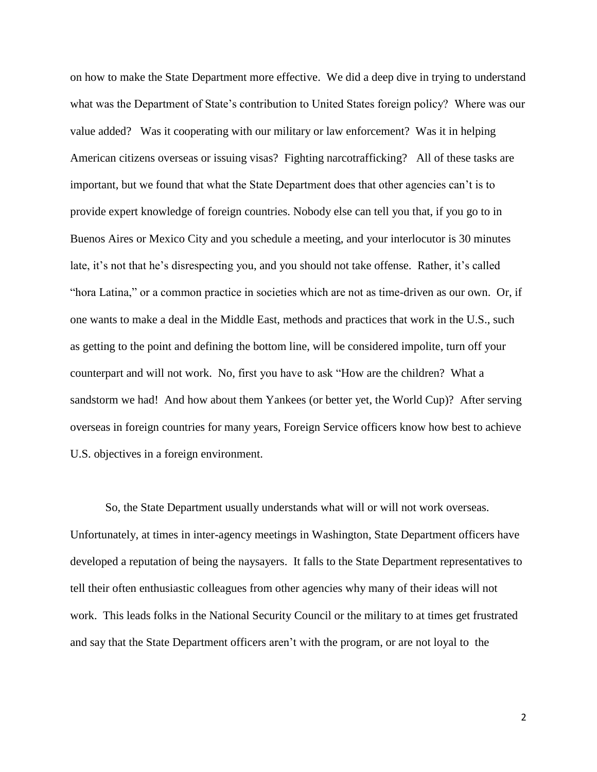on how to make the State Department more effective. We did a deep dive in trying to understand what was the Department of State's contribution to United States foreign policy? Where was our value added? Was it cooperating with our military or law enforcement? Was it in helping American citizens overseas or issuing visas? Fighting narcotrafficking? All of these tasks are important, but we found that what the State Department does that other agencies can't is to provide expert knowledge of foreign countries. Nobody else can tell you that, if you go to in Buenos Aires or Mexico City and you schedule a meeting, and your interlocutor is 30 minutes late, it's not that he's disrespecting you, and you should not take offense. Rather, it's called "hora Latina," or a common practice in societies which are not as time-driven as our own. Or, if one wants to make a deal in the Middle East, methods and practices that work in the U.S., such as getting to the point and defining the bottom line, will be considered impolite, turn off your counterpart and will not work. No, first you have to ask "How are the children? What a sandstorm we had! And how about them Yankees (or better yet, the World Cup)? After serving overseas in foreign countries for many years, Foreign Service officers know how best to achieve U.S. objectives in a foreign environment.

So, the State Department usually understands what will or will not work overseas. Unfortunately, at times in inter-agency meetings in Washington, State Department officers have developed a reputation of being the naysayers. It falls to the State Department representatives to tell their often enthusiastic colleagues from other agencies why many of their ideas will not work. This leads folks in the National Security Council or the military to at times get frustrated and say that the State Department officers aren't with the program, or are not loyal to the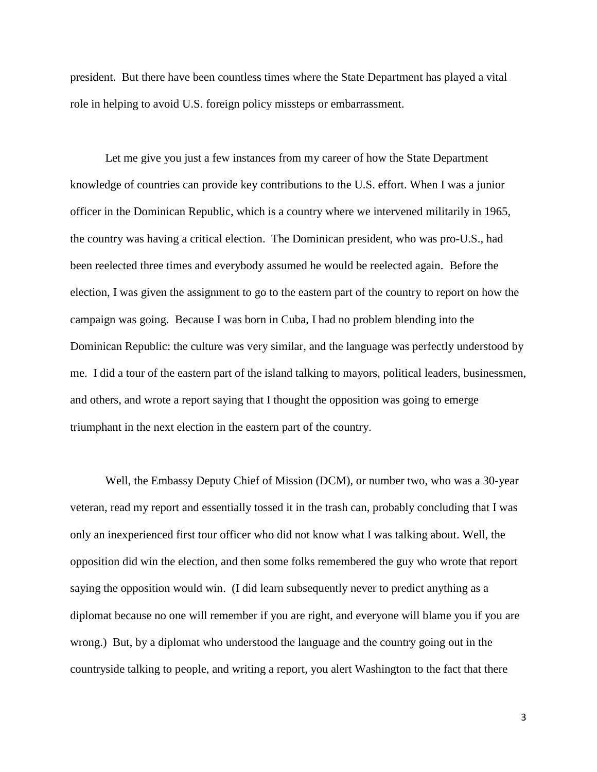president. But there have been countless times where the State Department has played a vital role in helping to avoid U.S. foreign policy missteps or embarrassment.

Let me give you just a few instances from my career of how the State Department knowledge of countries can provide key contributions to the U.S. effort. When I was a junior officer in the Dominican Republic, which is a country where we intervened militarily in 1965, the country was having a critical election. The Dominican president, who was pro-U.S., had been reelected three times and everybody assumed he would be reelected again. Before the election, I was given the assignment to go to the eastern part of the country to report on how the campaign was going. Because I was born in Cuba, I had no problem blending into the Dominican Republic: the culture was very similar, and the language was perfectly understood by me. I did a tour of the eastern part of the island talking to mayors, political leaders, businessmen, and others, and wrote a report saying that I thought the opposition was going to emerge triumphant in the next election in the eastern part of the country.

Well, the Embassy Deputy Chief of Mission (DCM), or number two, who was a 30-year veteran, read my report and essentially tossed it in the trash can, probably concluding that I was only an inexperienced first tour officer who did not know what I was talking about. Well, the opposition did win the election, and then some folks remembered the guy who wrote that report saying the opposition would win. (I did learn subsequently never to predict anything as a diplomat because no one will remember if you are right, and everyone will blame you if you are wrong.) But, by a diplomat who understood the language and the country going out in the countryside talking to people, and writing a report, you alert Washington to the fact that there

3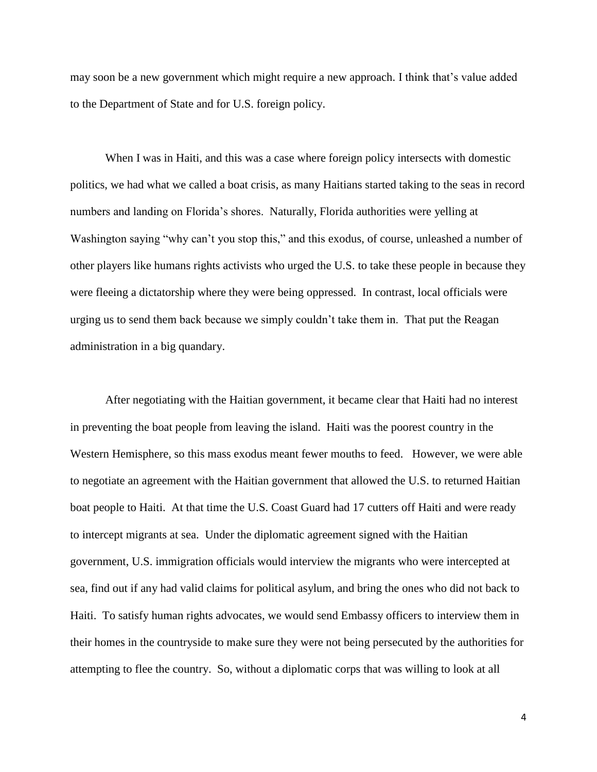may soon be a new government which might require a new approach. I think that's value added to the Department of State and for U.S. foreign policy.

When I was in Haiti, and this was a case where foreign policy intersects with domestic politics, we had what we called a boat crisis, as many Haitians started taking to the seas in record numbers and landing on Florida's shores. Naturally, Florida authorities were yelling at Washington saying "why can't you stop this," and this exodus, of course, unleashed a number of other players like humans rights activists who urged the U.S. to take these people in because they were fleeing a dictatorship where they were being oppressed. In contrast, local officials were urging us to send them back because we simply couldn't take them in. That put the Reagan administration in a big quandary.

After negotiating with the Haitian government, it became clear that Haiti had no interest in preventing the boat people from leaving the island. Haiti was the poorest country in the Western Hemisphere, so this mass exodus meant fewer mouths to feed. However, we were able to negotiate an agreement with the Haitian government that allowed the U.S. to returned Haitian boat people to Haiti. At that time the U.S. Coast Guard had 17 cutters off Haiti and were ready to intercept migrants at sea. Under the diplomatic agreement signed with the Haitian government, U.S. immigration officials would interview the migrants who were intercepted at sea, find out if any had valid claims for political asylum, and bring the ones who did not back to Haiti. To satisfy human rights advocates, we would send Embassy officers to interview them in their homes in the countryside to make sure they were not being persecuted by the authorities for attempting to flee the country. So, without a diplomatic corps that was willing to look at all

4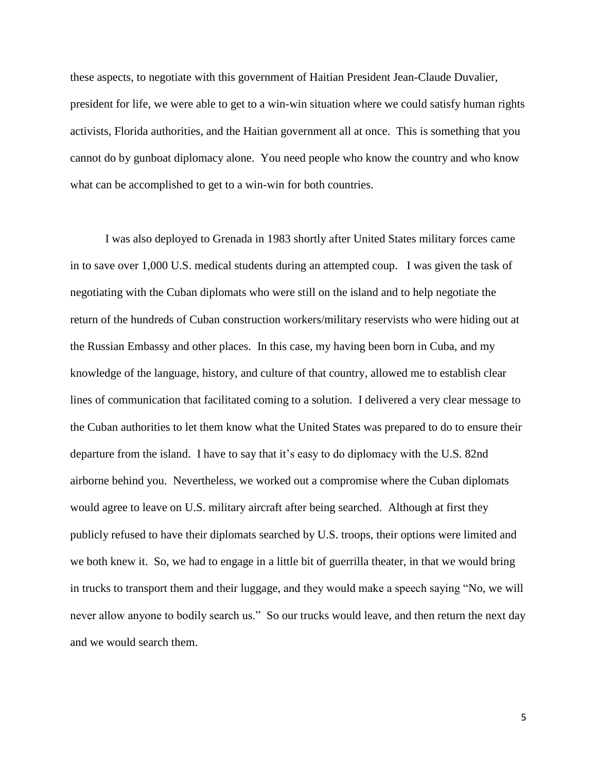these aspects, to negotiate with this government of Haitian President Jean-Claude Duvalier, president for life, we were able to get to a win-win situation where we could satisfy human rights activists, Florida authorities, and the Haitian government all at once. This is something that you cannot do by gunboat diplomacy alone. You need people who know the country and who know what can be accomplished to get to a win-win for both countries.

I was also deployed to Grenada in 1983 shortly after United States military forces came in to save over 1,000 U.S. medical students during an attempted coup. I was given the task of negotiating with the Cuban diplomats who were still on the island and to help negotiate the return of the hundreds of Cuban construction workers/military reservists who were hiding out at the Russian Embassy and other places. In this case, my having been born in Cuba, and my knowledge of the language, history, and culture of that country, allowed me to establish clear lines of communication that facilitated coming to a solution. I delivered a very clear message to the Cuban authorities to let them know what the United States was prepared to do to ensure their departure from the island. I have to say that it's easy to do diplomacy with the U.S. 82nd airborne behind you. Nevertheless, we worked out a compromise where the Cuban diplomats would agree to leave on U.S. military aircraft after being searched. Although at first they publicly refused to have their diplomats searched by U.S. troops, their options were limited and we both knew it. So, we had to engage in a little bit of guerrilla theater, in that we would bring in trucks to transport them and their luggage, and they would make a speech saying "No, we will never allow anyone to bodily search us." So our trucks would leave, and then return the next day and we would search them.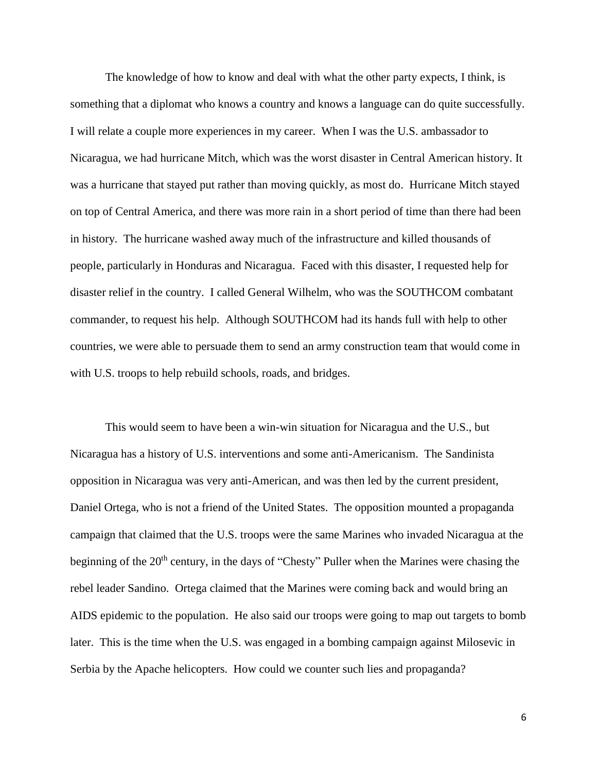The knowledge of how to know and deal with what the other party expects, I think, is something that a diplomat who knows a country and knows a language can do quite successfully. I will relate a couple more experiences in my career. When I was the U.S. ambassador to Nicaragua, we had hurricane Mitch, which was the worst disaster in Central American history. It was a hurricane that stayed put rather than moving quickly, as most do. Hurricane Mitch stayed on top of Central America, and there was more rain in a short period of time than there had been in history. The hurricane washed away much of the infrastructure and killed thousands of people, particularly in Honduras and Nicaragua. Faced with this disaster, I requested help for disaster relief in the country. I called General Wilhelm, who was the SOUTHCOM combatant commander, to request his help. Although SOUTHCOM had its hands full with help to other countries, we were able to persuade them to send an army construction team that would come in with U.S. troops to help rebuild schools, roads, and bridges.

This would seem to have been a win-win situation for Nicaragua and the U.S., but Nicaragua has a history of U.S. interventions and some anti-Americanism. The Sandinista opposition in Nicaragua was very anti-American, and was then led by the current president, Daniel Ortega, who is not a friend of the United States. The opposition mounted a propaganda campaign that claimed that the U.S. troops were the same Marines who invaded Nicaragua at the beginning of the  $20<sup>th</sup>$  century, in the days of "Chesty" Puller when the Marines were chasing the rebel leader Sandino. Ortega claimed that the Marines were coming back and would bring an AIDS epidemic to the population. He also said our troops were going to map out targets to bomb later. This is the time when the U.S. was engaged in a bombing campaign against Milosevic in Serbia by the Apache helicopters. How could we counter such lies and propaganda?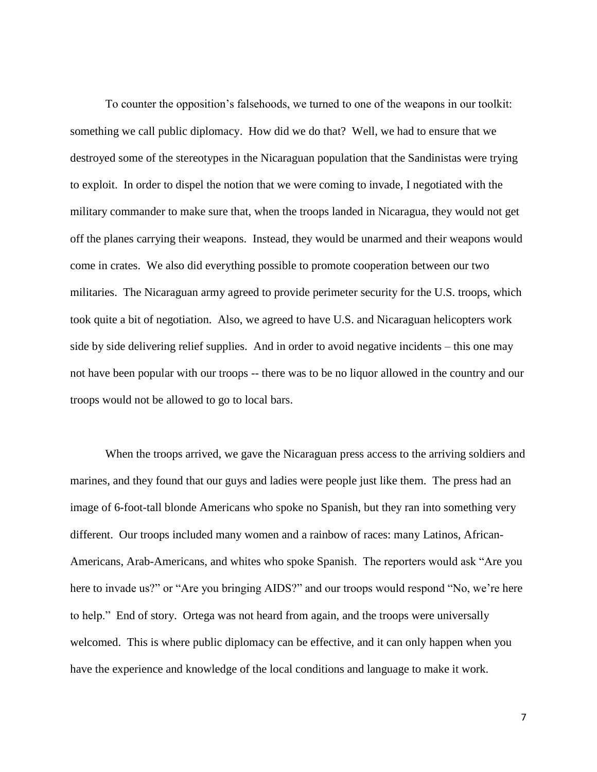To counter the opposition's falsehoods, we turned to one of the weapons in our toolkit: something we call public diplomacy. How did we do that? Well, we had to ensure that we destroyed some of the stereotypes in the Nicaraguan population that the Sandinistas were trying to exploit. In order to dispel the notion that we were coming to invade, I negotiated with the military commander to make sure that, when the troops landed in Nicaragua, they would not get off the planes carrying their weapons. Instead, they would be unarmed and their weapons would come in crates. We also did everything possible to promote cooperation between our two militaries. The Nicaraguan army agreed to provide perimeter security for the U.S. troops, which took quite a bit of negotiation. Also, we agreed to have U.S. and Nicaraguan helicopters work side by side delivering relief supplies. And in order to avoid negative incidents – this one may not have been popular with our troops -- there was to be no liquor allowed in the country and our troops would not be allowed to go to local bars.

When the troops arrived, we gave the Nicaraguan press access to the arriving soldiers and marines, and they found that our guys and ladies were people just like them. The press had an image of 6-foot-tall blonde Americans who spoke no Spanish, but they ran into something very different. Our troops included many women and a rainbow of races: many Latinos, African-Americans, Arab-Americans, and whites who spoke Spanish. The reporters would ask "Are you here to invade us?" or "Are you bringing AIDS?" and our troops would respond "No, we're here to help." End of story. Ortega was not heard from again, and the troops were universally welcomed. This is where public diplomacy can be effective, and it can only happen when you have the experience and knowledge of the local conditions and language to make it work.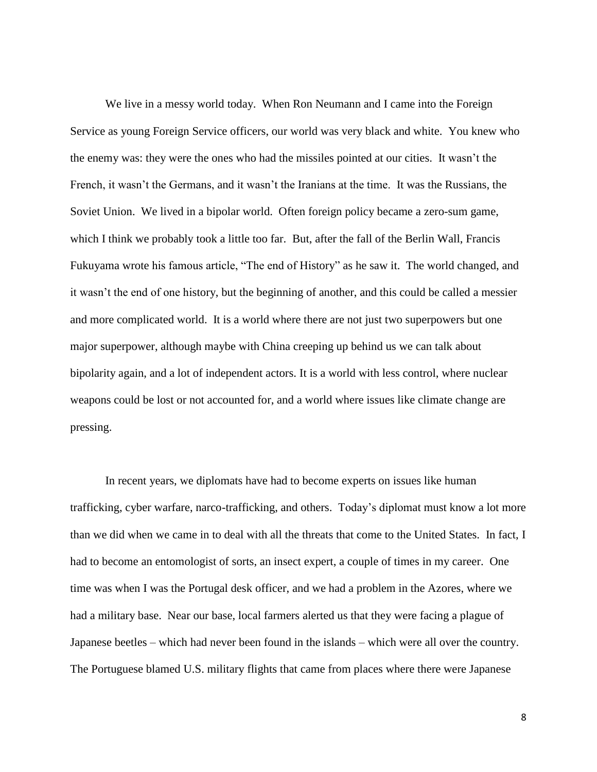We live in a messy world today. When Ron Neumann and I came into the Foreign Service as young Foreign Service officers, our world was very black and white. You knew who the enemy was: they were the ones who had the missiles pointed at our cities. It wasn't the French, it wasn't the Germans, and it wasn't the Iranians at the time. It was the Russians, the Soviet Union. We lived in a bipolar world. Often foreign policy became a zero-sum game, which I think we probably took a little too far. But, after the fall of the Berlin Wall, Francis Fukuyama wrote his famous article, "The end of History" as he saw it. The world changed, and it wasn't the end of one history, but the beginning of another, and this could be called a messier and more complicated world. It is a world where there are not just two superpowers but one major superpower, although maybe with China creeping up behind us we can talk about bipolarity again, and a lot of independent actors. It is a world with less control, where nuclear weapons could be lost or not accounted for, and a world where issues like climate change are pressing.

In recent years, we diplomats have had to become experts on issues like human trafficking, cyber warfare, narco-trafficking, and others. Today's diplomat must know a lot more than we did when we came in to deal with all the threats that come to the United States. In fact, I had to become an entomologist of sorts, an insect expert, a couple of times in my career. One time was when I was the Portugal desk officer, and we had a problem in the Azores, where we had a military base. Near our base, local farmers alerted us that they were facing a plague of Japanese beetles – which had never been found in the islands – which were all over the country. The Portuguese blamed U.S. military flights that came from places where there were Japanese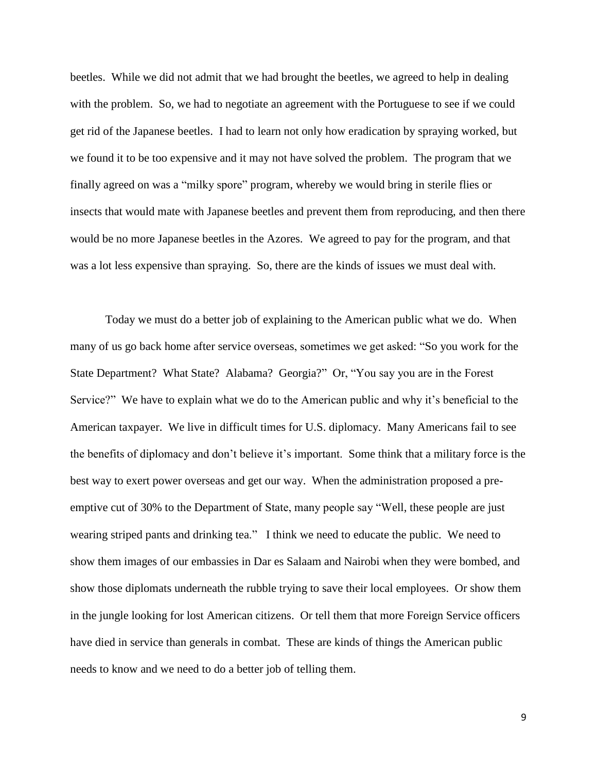beetles. While we did not admit that we had brought the beetles, we agreed to help in dealing with the problem. So, we had to negotiate an agreement with the Portuguese to see if we could get rid of the Japanese beetles. I had to learn not only how eradication by spraying worked, but we found it to be too expensive and it may not have solved the problem. The program that we finally agreed on was a "milky spore" program, whereby we would bring in sterile flies or insects that would mate with Japanese beetles and prevent them from reproducing, and then there would be no more Japanese beetles in the Azores. We agreed to pay for the program, and that was a lot less expensive than spraying. So, there are the kinds of issues we must deal with.

Today we must do a better job of explaining to the American public what we do. When many of us go back home after service overseas, sometimes we get asked: "So you work for the State Department? What State? Alabama? Georgia?" Or, "You say you are in the Forest Service?" We have to explain what we do to the American public and why it's beneficial to the American taxpayer. We live in difficult times for U.S. diplomacy. Many Americans fail to see the benefits of diplomacy and don't believe it's important. Some think that a military force is the best way to exert power overseas and get our way. When the administration proposed a preemptive cut of 30% to the Department of State, many people say "Well, these people are just wearing striped pants and drinking tea." I think we need to educate the public. We need to show them images of our embassies in Dar es Salaam and Nairobi when they were bombed, and show those diplomats underneath the rubble trying to save their local employees. Or show them in the jungle looking for lost American citizens. Or tell them that more Foreign Service officers have died in service than generals in combat. These are kinds of things the American public needs to know and we need to do a better job of telling them.